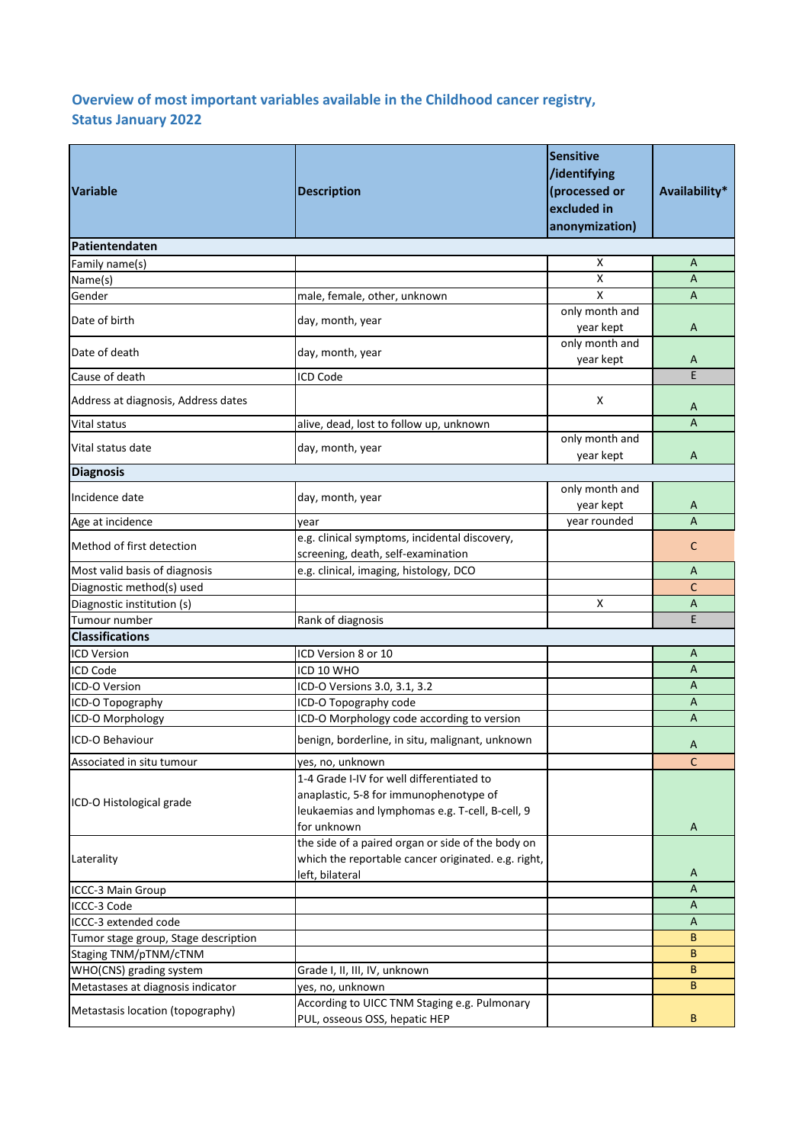## **Overview of most important variables available in the Childhood cancer registry, Status January 2022**

| <b>Variable</b>                      | <b>Description</b>                                                                                                                                    | <b>Sensitive</b><br>/identifying<br>(processed or<br>excluded in<br>anonymization) | Availability*  |
|--------------------------------------|-------------------------------------------------------------------------------------------------------------------------------------------------------|------------------------------------------------------------------------------------|----------------|
| Patientendaten                       |                                                                                                                                                       |                                                                                    |                |
| Family name(s)                       |                                                                                                                                                       | х                                                                                  | A              |
| Name(s)                              |                                                                                                                                                       | $\pmb{\mathsf{X}}$                                                                 | $\overline{A}$ |
| Gender                               | male, female, other, unknown                                                                                                                          | $\boldsymbol{\mathsf{x}}$                                                          | $\overline{A}$ |
| Date of birth                        | day, month, year                                                                                                                                      | only month and<br>year kept                                                        | A              |
| Date of death                        | day, month, year                                                                                                                                      | only month and<br>year kept                                                        | A              |
| Cause of death                       | <b>ICD Code</b>                                                                                                                                       |                                                                                    | F              |
| Address at diagnosis, Address dates  |                                                                                                                                                       | X                                                                                  | A              |
| Vital status                         | alive, dead, lost to follow up, unknown                                                                                                               |                                                                                    | $\overline{A}$ |
|                                      |                                                                                                                                                       | only month and                                                                     |                |
| Vital status date                    | day, month, year                                                                                                                                      | year kept                                                                          | A              |
| <b>Diagnosis</b>                     |                                                                                                                                                       |                                                                                    |                |
|                                      |                                                                                                                                                       | only month and                                                                     |                |
| Incidence date                       | day, month, year                                                                                                                                      | year kept                                                                          | A              |
| Age at incidence                     | vear                                                                                                                                                  | year rounded                                                                       | A              |
| Method of first detection            | e.g. clinical symptoms, incidental discovery,<br>screening, death, self-examination                                                                   |                                                                                    | C              |
| Most valid basis of diagnosis        | e.g. clinical, imaging, histology, DCO                                                                                                                |                                                                                    | A              |
| Diagnostic method(s) used            |                                                                                                                                                       |                                                                                    | C              |
| Diagnostic institution (s)           |                                                                                                                                                       | X                                                                                  | A              |
| Tumour number                        | Rank of diagnosis                                                                                                                                     |                                                                                    | E.             |
| <b>Classifications</b>               |                                                                                                                                                       |                                                                                    |                |
| <b>ICD Version</b>                   | ICD Version 8 or 10                                                                                                                                   |                                                                                    | A              |
| <b>ICD Code</b>                      | ICD 10 WHO                                                                                                                                            |                                                                                    | $\overline{A}$ |
| ICD-O Version                        | ICD-O Versions 3.0, 3.1, 3.2                                                                                                                          |                                                                                    | $\overline{A}$ |
| ICD-O Topography                     | ICD-O Topography code                                                                                                                                 |                                                                                    | A              |
| ICD-O Morphology                     | ICD-O Morphology code according to version                                                                                                            |                                                                                    | $\overline{A}$ |
| ICD-O Behaviour                      | benign, borderline, in situ, malignant, unknown                                                                                                       |                                                                                    |                |
|                                      |                                                                                                                                                       |                                                                                    | A              |
| Associated in situ tumour            | yes, no, unknown                                                                                                                                      |                                                                                    | $\mathsf{C}$   |
| ICD-O Histological grade             | 1-4 Grade I-IV for well differentiated to<br>anaplastic, 5-8 for immunophenotype of<br>leukaemias and lymphomas e.g. T-cell, B-cell, 9<br>for unknown |                                                                                    | A              |
| Laterality                           | the side of a paired organ or side of the body on<br>which the reportable cancer originated. e.g. right,<br>left, bilateral                           |                                                                                    | A              |
| ICCC-3 Main Group                    |                                                                                                                                                       |                                                                                    | A              |
| ICCC-3 Code                          |                                                                                                                                                       |                                                                                    | A              |
| ICCC-3 extended code                 |                                                                                                                                                       |                                                                                    | A              |
| Tumor stage group, Stage description |                                                                                                                                                       |                                                                                    | B              |
| Staging TNM/pTNM/cTNM                |                                                                                                                                                       |                                                                                    | B              |
| WHO(CNS) grading system              | Grade I, II, III, IV, unknown                                                                                                                         |                                                                                    | B              |
| Metastases at diagnosis indicator    | yes, no, unknown                                                                                                                                      |                                                                                    | B              |
| Metastasis location (topography)     | According to UICC TNM Staging e.g. Pulmonary<br>PUL, osseous OSS, hepatic HEP                                                                         |                                                                                    | B              |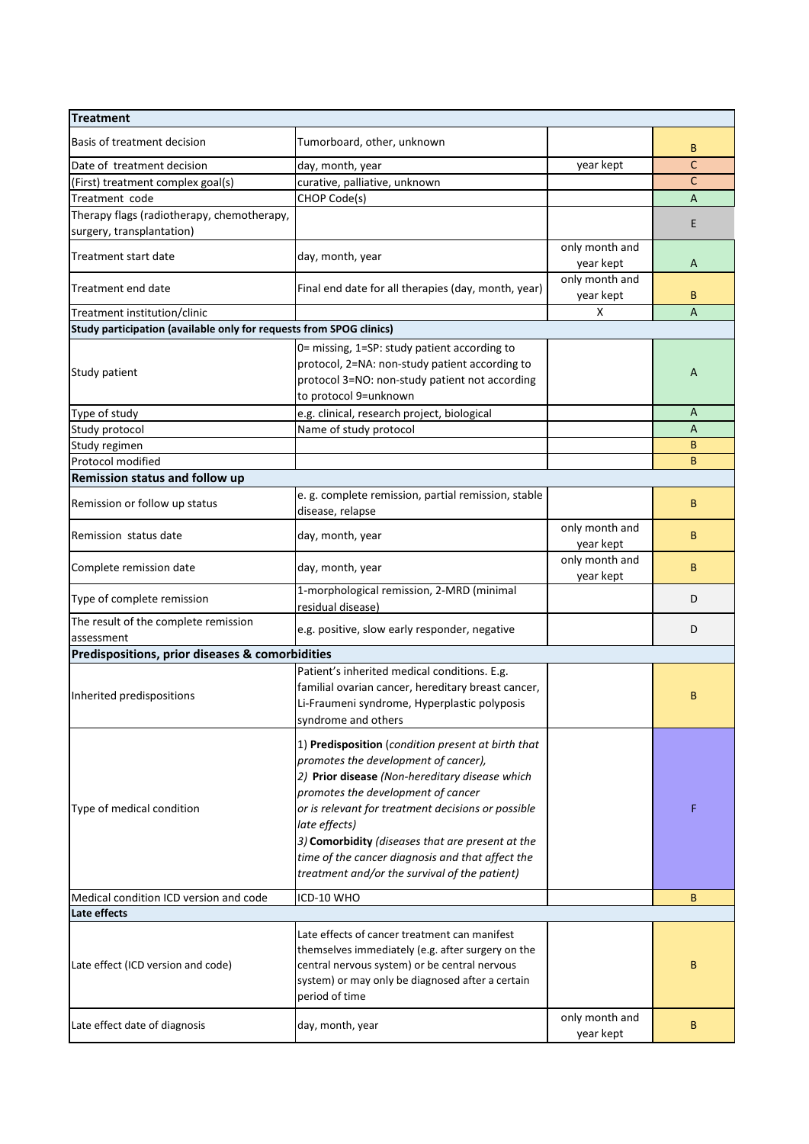| <b>Treatment</b>                                                        |                                                                                                                                                                                                                                                                                                                                                                                                                    |                             |              |
|-------------------------------------------------------------------------|--------------------------------------------------------------------------------------------------------------------------------------------------------------------------------------------------------------------------------------------------------------------------------------------------------------------------------------------------------------------------------------------------------------------|-----------------------------|--------------|
| Basis of treatment decision                                             | Tumorboard, other, unknown                                                                                                                                                                                                                                                                                                                                                                                         |                             | B            |
| Date of treatment decision                                              | day, month, year                                                                                                                                                                                                                                                                                                                                                                                                   | year kept                   | C            |
| (First) treatment complex goal(s)                                       | curative, palliative, unknown                                                                                                                                                                                                                                                                                                                                                                                      |                             | $\mathsf{C}$ |
| Treatment code                                                          | CHOP Code(s)                                                                                                                                                                                                                                                                                                                                                                                                       |                             | A            |
| Therapy flags (radiotherapy, chemotherapy,<br>surgery, transplantation) |                                                                                                                                                                                                                                                                                                                                                                                                                    |                             | E            |
| Treatment start date                                                    | day, month, year                                                                                                                                                                                                                                                                                                                                                                                                   | only month and<br>year kept | A            |
| Treatment end date                                                      | Final end date for all therapies (day, month, year)                                                                                                                                                                                                                                                                                                                                                                | only month and<br>year kept | B            |
| Treatment institution/clinic                                            |                                                                                                                                                                                                                                                                                                                                                                                                                    | Χ                           | A            |
| Study participation (available only for requests from SPOG clinics)     |                                                                                                                                                                                                                                                                                                                                                                                                                    |                             |              |
| Study patient                                                           | 0= missing, 1=SP: study patient according to<br>protocol, 2=NA: non-study patient according to<br>protocol 3=NO: non-study patient not according<br>to protocol 9=unknown                                                                                                                                                                                                                                          |                             | A            |
| Type of study                                                           | e.g. clinical, research project, biological                                                                                                                                                                                                                                                                                                                                                                        |                             | A            |
| Study protocol                                                          | Name of study protocol                                                                                                                                                                                                                                                                                                                                                                                             |                             | A            |
| Study regimen                                                           |                                                                                                                                                                                                                                                                                                                                                                                                                    |                             | B            |
| Protocol modified                                                       |                                                                                                                                                                                                                                                                                                                                                                                                                    |                             | B            |
| Remission status and follow up                                          |                                                                                                                                                                                                                                                                                                                                                                                                                    |                             |              |
| Remission or follow up status                                           | e. g. complete remission, partial remission, stable<br>disease, relapse                                                                                                                                                                                                                                                                                                                                            |                             | B            |
| Remission status date                                                   | day, month, year                                                                                                                                                                                                                                                                                                                                                                                                   | only month and<br>year kept | B            |
| Complete remission date                                                 | day, month, year                                                                                                                                                                                                                                                                                                                                                                                                   | only month and<br>year kept | B            |
| Type of complete remission                                              | 1-morphological remission, 2-MRD (minimal<br>residual disease)                                                                                                                                                                                                                                                                                                                                                     |                             | D            |
| The result of the complete remission                                    | e.g. positive, slow early responder, negative                                                                                                                                                                                                                                                                                                                                                                      |                             | D            |
| assessment                                                              |                                                                                                                                                                                                                                                                                                                                                                                                                    |                             |              |
| Predispositions, prior diseases & comorbidities                         |                                                                                                                                                                                                                                                                                                                                                                                                                    |                             |              |
| Inherited predispositions                                               | Patient's inherited medical conditions. E.g.<br>familial ovarian cancer, hereditary breast cancer,<br>Li-Fraumeni syndrome, Hyperplastic polyposis<br>syndrome and others                                                                                                                                                                                                                                          |                             | В            |
| Type of medical condition                                               | 1) Predisposition (condition present at birth that<br>promotes the development of cancer),<br>2) Prior disease (Non-hereditary disease which<br>promotes the development of cancer<br>or is relevant for treatment decisions or possible<br>late effects)<br>3) Comorbidity (diseases that are present at the<br>time of the cancer diagnosis and that affect the<br>treatment and/or the survival of the patient) |                             | F            |
| Medical condition ICD version and code                                  | ICD-10 WHO                                                                                                                                                                                                                                                                                                                                                                                                         |                             | B            |
| Late effects                                                            |                                                                                                                                                                                                                                                                                                                                                                                                                    |                             |              |
| Late effect (ICD version and code)                                      | Late effects of cancer treatment can manifest<br>themselves immediately (e.g. after surgery on the<br>central nervous system) or be central nervous<br>system) or may only be diagnosed after a certain<br>period of time                                                                                                                                                                                          |                             | B            |
| Late effect date of diagnosis                                           | day, month, year                                                                                                                                                                                                                                                                                                                                                                                                   | only month and<br>year kept | B            |